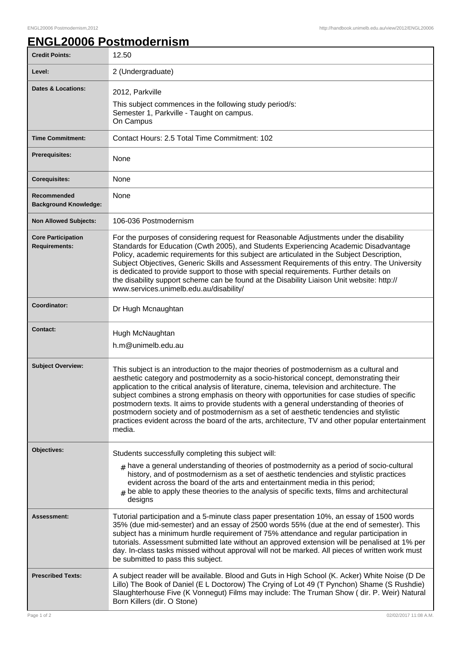## **ENGL20006 Postmodernism**

| <b>Credit Points:</b>                             | 12.50                                                                                                                                                                                                                                                                                                                                                                                                                                                                                                                                                                                                                                                                                    |
|---------------------------------------------------|------------------------------------------------------------------------------------------------------------------------------------------------------------------------------------------------------------------------------------------------------------------------------------------------------------------------------------------------------------------------------------------------------------------------------------------------------------------------------------------------------------------------------------------------------------------------------------------------------------------------------------------------------------------------------------------|
| Level:                                            | 2 (Undergraduate)                                                                                                                                                                                                                                                                                                                                                                                                                                                                                                                                                                                                                                                                        |
| <b>Dates &amp; Locations:</b>                     | 2012, Parkville<br>This subject commences in the following study period/s:<br>Semester 1, Parkville - Taught on campus.<br>On Campus                                                                                                                                                                                                                                                                                                                                                                                                                                                                                                                                                     |
| <b>Time Commitment:</b>                           | Contact Hours: 2.5 Total Time Commitment: 102                                                                                                                                                                                                                                                                                                                                                                                                                                                                                                                                                                                                                                            |
| <b>Prerequisites:</b>                             | None                                                                                                                                                                                                                                                                                                                                                                                                                                                                                                                                                                                                                                                                                     |
| <b>Corequisites:</b>                              | None                                                                                                                                                                                                                                                                                                                                                                                                                                                                                                                                                                                                                                                                                     |
| Recommended<br><b>Background Knowledge:</b>       | None                                                                                                                                                                                                                                                                                                                                                                                                                                                                                                                                                                                                                                                                                     |
| <b>Non Allowed Subjects:</b>                      | 106-036 Postmodernism                                                                                                                                                                                                                                                                                                                                                                                                                                                                                                                                                                                                                                                                    |
| <b>Core Participation</b><br><b>Requirements:</b> | For the purposes of considering request for Reasonable Adjustments under the disability<br>Standards for Education (Cwth 2005), and Students Experiencing Academic Disadvantage<br>Policy, academic requirements for this subject are articulated in the Subject Description,<br>Subject Objectives, Generic Skills and Assessment Requirements of this entry. The University<br>is dedicated to provide support to those with special requirements. Further details on<br>the disability support scheme can be found at the Disability Liaison Unit website: http://<br>www.services.unimelb.edu.au/disability/                                                                         |
| Coordinator:                                      | Dr Hugh Mcnaughtan                                                                                                                                                                                                                                                                                                                                                                                                                                                                                                                                                                                                                                                                       |
| <b>Contact:</b>                                   | Hugh McNaughtan<br>h.m@unimelb.edu.au                                                                                                                                                                                                                                                                                                                                                                                                                                                                                                                                                                                                                                                    |
| <b>Subject Overview:</b>                          | This subject is an introduction to the major theories of postmodernism as a cultural and<br>aesthetic category and postmodernity as a socio-historical concept, demonstrating their<br>application to the critical analysis of literature, cinema, television and architecture. The<br>subject combines a strong emphasis on theory with opportunities for case studies of specific<br>postmodern texts. It aims to provide students with a general understanding of theories of<br>postmodern society and of postmodernism as a set of aesthetic tendencies and stylistic<br>practices evident across the board of the arts, architecture, TV and other popular entertainment<br>media. |
| Objectives:                                       | Students successfully completing this subject will:                                                                                                                                                                                                                                                                                                                                                                                                                                                                                                                                                                                                                                      |
|                                                   | $#$ have a general understanding of theories of postmodernity as a period of socio-cultural<br>history, and of postmodernism as a set of aesthetic tendencies and stylistic practices<br>evident across the board of the arts and entertainment media in this period;<br>$#$ be able to apply these theories to the analysis of specific texts, films and architectural<br>designs                                                                                                                                                                                                                                                                                                       |
| <b>Assessment:</b>                                | Tutorial participation and a 5-minute class paper presentation 10%, an essay of 1500 words<br>35% (due mid-semester) and an essay of 2500 words 55% (due at the end of semester). This<br>subject has a minimum hurdle requirement of 75% attendance and regular participation in<br>tutorials. Assessment submitted late without an approved extension will be penalised at 1% per<br>day. In-class tasks missed without approval will not be marked. All pieces of written work must<br>be submitted to pass this subject.                                                                                                                                                             |
| <b>Prescribed Texts:</b>                          | A subject reader will be available. Blood and Guts in High School (K. Acker) White Noise (D De<br>Lillo) The Book of Daniel (E L Doctorow) The Crying of Lot 49 (T Pynchon) Shame (S Rushdie)<br>Slaughterhouse Five (K Vonnegut) Films may include: The Truman Show (dir. P. Weir) Natural<br>Born Killers (dir. O Stone)                                                                                                                                                                                                                                                                                                                                                               |